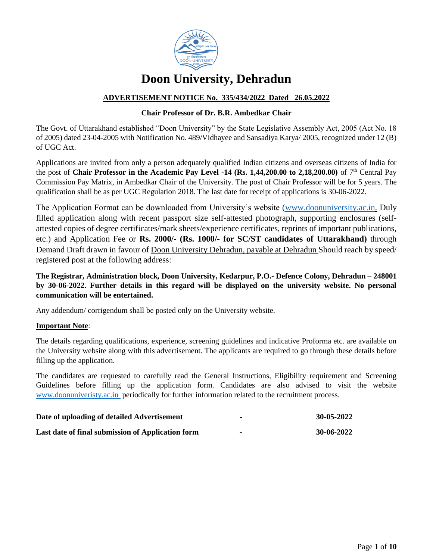

# **Doon University, Dehradun**

## **ADVERTISEMENT NOTICE No. 335/434/2022 Dated 26.05.2022**

## **Chair Professor of Dr. B.R. Ambedkar Chair**

The Govt. of Uttarakhand established "Doon University" by the State Legislative Assembly Act, 2005 (Act No. 18 of 2005) dated 23-04-2005 with Notification No. 489/Vidhayee and Sansadiya Karya/ 2005, recognized under 12 (B) of UGC Act.

Applications are invited from only a person adequately qualified Indian citizens and overseas citizens of India for the post of **Chair Professor in the Academic Pay Level -14 (Rs. 1,44,200.00 to 2,18,200.00)** of 7th Central Pay Commission Pay Matrix, in Ambedkar Chair of the University. The post of Chair Professor will be for 5 years. The qualification shall be as per UGC Regulation 2018. The last date for receipt of applications is 30-06-2022.

The Application Format can be downloaded from University's website [\(www.d](http://www./)oonuniversity.ac.in. Duly filled application along with recent passport size self-attested photograph, supporting enclosures (selfattested copies of degree certificates/mark sheets/experience certificates, reprints of important publications, etc.) and Application Fee or **Rs. 2000/- (Rs. 1000/- for SC/ST candidates of Uttarakhand)** through Demand Draft drawn in favour of Doon University Dehradun, payable at Dehradun Should reach by speed/ registered post at the following address:

**The Registrar, Administration block, Doon University, Kedarpur, P.O.- Defence Colony, Dehradun – 248001 by 30-06-2022. Further details in this regard will be displayed on the university website. No personal communication will be entertained.** 

Any addendum/ corrigendum shall be posted only on the University website.

## **Important Note**:

The details regarding qualifications, experience, screening guidelines and indicative Proforma etc. are available on the University website along with this advertisement. The applicants are required to go through these details before filling up the application.

The candidates are requested to carefully read the General Instructions, Eligibility requirement and Screening Guidelines before filling up the application form. Candidates are also advised to visit the website [www.doonuniveristy.a](http://www.doonuniveristy./)c.in periodically for further information related to the recruitment process.

| Date of uploading of detailed Advertisement       | 30-05-2022 |
|---------------------------------------------------|------------|
| Last date of final submission of Application form | 30-06-2022 |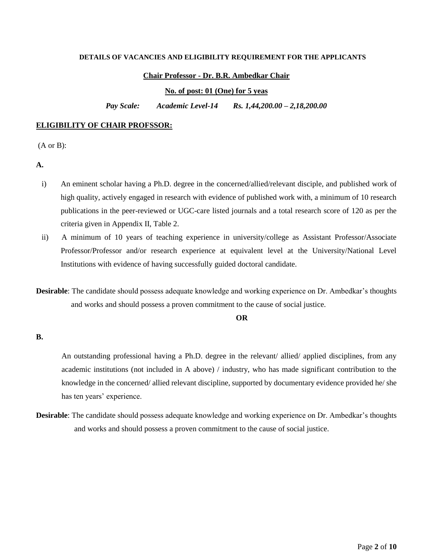#### **DETAILS OF VACANCIES AND ELIGIBILITY REQUIREMENT FOR THE APPLICANTS**

#### **Chair Professor - Dr. B.R. Ambedkar Chair**

**No. of post: 01 (One) for 5 yeas**

*Pay Scale: Academic Level-14 Rs. 1,44,200.00 – 2,18,200.00*

#### **ELIGIBILITY OF CHAIR PROFSSOR:**

(A or B):

- **A.**
- i) An eminent scholar having a Ph.D. degree in the concerned/allied/relevant disciple, and published work of high quality, actively engaged in research with evidence of published work with, a minimum of 10 research publications in the peer-reviewed or UGC-care listed journals and a total research score of 120 as per the criteria given in Appendix II, Table 2.
- ii) A minimum of 10 years of teaching experience in university/college as Assistant Professor/Associate Professor/Professor and/or research experience at equivalent level at the University/National Level Institutions with evidence of having successfully guided doctoral candidate.
- **Desirable**: The candidate should possess adequate knowledge and working experience on Dr. Ambedkar's thoughts and works and should possess a proven commitment to the cause of social justice.

#### **OR**

#### **B.**

An outstanding professional having a Ph.D. degree in the relevant/ allied/ applied disciplines, from any academic institutions (not included in A above) / industry, who has made significant contribution to the knowledge in the concerned/ allied relevant discipline, supported by documentary evidence provided he/ she has ten years' experience.

**Desirable**: The candidate should possess adequate knowledge and working experience on Dr. Ambedkar's thoughts and works and should possess a proven commitment to the cause of social justice.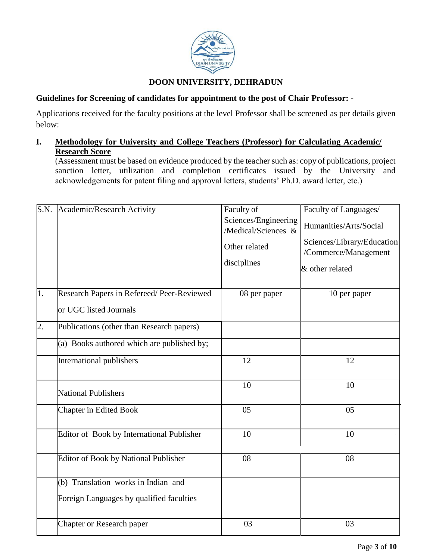

# **DOON UNIVERSITY, DEHRADUN**

## **Guidelines for Screening of candidates for appointment to the post of Chair Professor: -**

Applications received for the faculty positions at the level Professor shall be screened as per details given below:

# **I. Methodology for University and College Teachers (Professor) for Calculating Academic/ Research Score**

(Assessment must be based on evidence produced by the teacher such as: copy of publications, project sanction letter, utilization and completion certificates issued by the University and acknowledgements for patent filing and approval letters, students' Ph.D. award letter, etc.)

|                  | S.N. Academic/Research Activity                                     | Faculty of<br>Sciences/Engineering<br>/Medical/Sciences &<br>Other related<br>disciplines | Faculty of Languages/<br>Humanities/Arts/Social<br>Sciences/Library/Education<br>/Commerce/Management<br>& other related |
|------------------|---------------------------------------------------------------------|-------------------------------------------------------------------------------------------|--------------------------------------------------------------------------------------------------------------------------|
| 1.               | Research Papers in Refereed/Peer-Reviewed<br>or UGC listed Journals | 08 per paper                                                                              | 10 per paper                                                                                                             |
| $\overline{2}$ . | Publications (other than Research papers)                           |                                                                                           |                                                                                                                          |
|                  | (a) Books authored which are published by;                          |                                                                                           |                                                                                                                          |
|                  | <b>International publishers</b>                                     | 12                                                                                        | 12                                                                                                                       |
|                  | <b>National Publishers</b>                                          | 10                                                                                        | 10                                                                                                                       |
|                  | <b>Chapter in Edited Book</b>                                       | 05                                                                                        | 05                                                                                                                       |
|                  | Editor of Book by International Publisher                           | 10                                                                                        | 10                                                                                                                       |
|                  | Editor of Book by National Publisher                                | 08                                                                                        | 08                                                                                                                       |
|                  | (b) Translation works in Indian and                                 |                                                                                           |                                                                                                                          |
|                  | Foreign Languages by qualified faculties                            |                                                                                           |                                                                                                                          |
|                  | Chapter or Research paper                                           | 03                                                                                        | 03                                                                                                                       |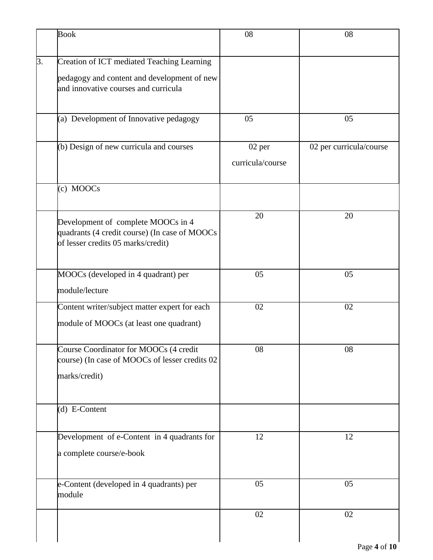|    | <b>Book</b>                                                                                                                       | 08                         | 08                      |
|----|-----------------------------------------------------------------------------------------------------------------------------------|----------------------------|-------------------------|
| 3. | Creation of ICT mediated Teaching Learning<br>pedagogy and content and development of new<br>and innovative courses and curricula |                            |                         |
|    | (a) Development of Innovative pedagogy                                                                                            | 05                         | 05                      |
|    | (b) Design of new curricula and courses                                                                                           | 02 per<br>curricula/course | 02 per curricula/course |
|    | (c) MOOCs                                                                                                                         |                            |                         |
|    | Development of complete MOOCs in 4<br>quadrants (4 credit course) (In case of MOOCs<br>of lesser credits 05 marks/credit)         | 20                         | 20                      |
|    | MOOCs (developed in 4 quadrant) per<br>module/lecture                                                                             | 05                         | 05                      |
|    | Content writer/subject matter expert for each<br>module of MOOCs (at least one quadrant)                                          | 02                         | 02                      |
|    | Course Coordinator for MOOCs (4 credit<br>course) (In case of MOOCs of lesser credits 02<br>marks/credit)                         | 08                         | 08                      |
|    | (d) E-Content                                                                                                                     |                            |                         |
|    | Development of e-Content in 4 quadrants for<br>a complete course/e-book                                                           | 12                         | 12                      |
|    | e-Content (developed in 4 quadrants) per<br>module                                                                                | 05                         | 05                      |
|    |                                                                                                                                   | 02                         | 02                      |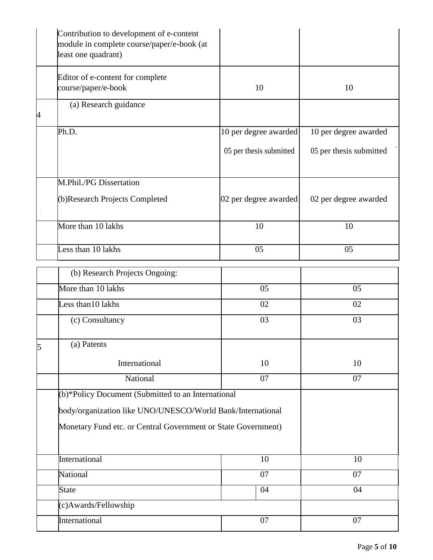|   | Contribution to development of e-content<br>module in complete course/paper/e-book (at<br>least one quadrant) |                         |                         |  |
|---|---------------------------------------------------------------------------------------------------------------|-------------------------|-------------------------|--|
|   | Editor of e-content for complete<br>course/paper/e-book                                                       | 10                      | 10                      |  |
| 4 | (a) Research guidance                                                                                         |                         |                         |  |
|   | Ph.D.                                                                                                         | 10 per degree awarded   | 10 per degree awarded   |  |
|   |                                                                                                               | 05 per thesis submitted | 05 per thesis submitted |  |
|   | M.Phil./PG Dissertation                                                                                       |                         |                         |  |
|   | (b)Research Projects Completed                                                                                | 02 per degree awarded   | 02 per degree awarded   |  |
|   | More than 10 lakhs                                                                                            | 10                      | 10                      |  |
|   | Less than 10 lakhs                                                                                            | 05                      | 05                      |  |
|   | (b) Research Projects Ongoing:                                                                                |                         |                         |  |
|   | More than 10 lakhs                                                                                            | 05                      | 05                      |  |
|   | Less than $10$ lakhs                                                                                          | 02                      | 02                      |  |
|   | (c) Consultancy                                                                                               | 03                      | 03                      |  |
| 5 | (a) Patents                                                                                                   |                         |                         |  |
|   | International                                                                                                 | 10                      | 10                      |  |
|   | National                                                                                                      | 07                      | 07                      |  |
|   | (b)*Policy Document (Submitted to an International                                                            |                         |                         |  |
|   | body/organization like UNO/UNESCO/World Bank/International                                                    |                         |                         |  |
|   | Monetary Fund etc. or Central Government or State Government)                                                 |                         |                         |  |
|   | International                                                                                                 | 10                      | 10                      |  |
|   | National                                                                                                      | 07                      | 07                      |  |
|   | <b>State</b>                                                                                                  | 04                      | 04                      |  |
|   | (c)Awards/Fellowship                                                                                          |                         |                         |  |
|   | International                                                                                                 | 07                      | 07                      |  |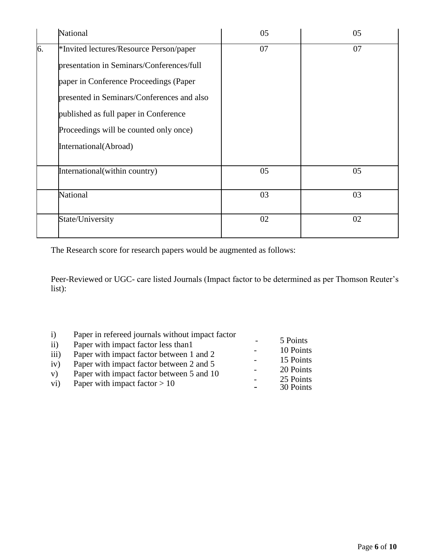|    | National                                   | 05 | 05 |
|----|--------------------------------------------|----|----|
| 6. | *Invited lectures/Resource Person/paper    | 07 | 07 |
|    | presentation in Seminars/Conferences/full  |    |    |
|    | paper in Conference Proceedings (Paper     |    |    |
|    | presented in Seminars/Conferences and also |    |    |
|    | published as full paper in Conference      |    |    |
|    | Proceedings will be counted only once)     |    |    |
|    | International(Abroad)                      |    |    |
|    | International(within country)              | 05 | 05 |
|    | National                                   | 03 | 03 |
|    | State/University                           | 02 | 02 |

The Research score for research papers would be augmented as follows:

Peer-Reviewed or UGC- care listed Journals (Impact factor to be determined as per Thomson Reuter's list):

| $\mathbf{i}$     | Paper in refereed journals without impact factor |                          |           |
|------------------|--------------------------------------------------|--------------------------|-----------|
| $\overline{ii}$  | Paper with impact factor less than 1             |                          | 5 Points  |
| $\overline{iii}$ | Paper with impact factor between 1 and 2         |                          | 10 Points |
| iv)              | Paper with impact factor between 2 and 5         |                          | 15 Points |
| V)               | Paper with impact factor between 5 and 10        |                          | 20 Points |
| vi)              | Paper with impact factor $> 10$                  | $\overline{\phantom{0}}$ | 25 Points |
|                  |                                                  |                          | 30 Points |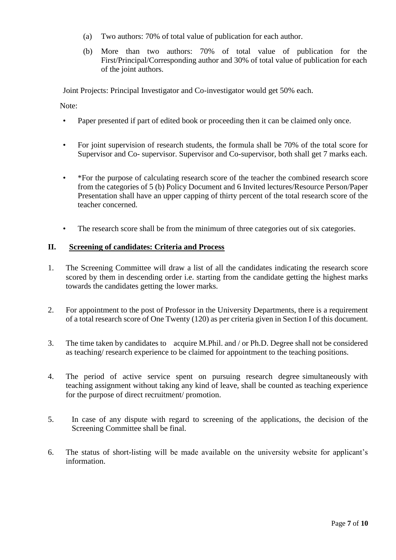- (a) Two authors: 70% of total value of publication for each author.
- (b) More than two authors: 70% of total value of publication for the First/Principal/Corresponding author and 30% of total value of publication for each of the joint authors.

Joint Projects: Principal Investigator and Co-investigator would get 50% each.

Note:

- Paper presented if part of edited book or proceeding then it can be claimed only once.
- For joint supervision of research students, the formula shall be 70% of the total score for Supervisor and Co- supervisor. Supervisor and Co-supervisor, both shall get 7 marks each.
- \*For the purpose of calculating research score of the teacher the combined research score from the categories of 5 (b) Policy Document and 6 Invited lectures/Resource Person/Paper Presentation shall have an upper capping of thirty percent of the total research score of the teacher concerned.
- The research score shall be from the minimum of three categories out of six categories.

## **II. Screening of candidates: Criteria and Process**

- 1. The Screening Committee will draw a list of all the candidates indicating the research score scored by them in descending order i.e. starting from the candidate getting the highest marks towards the candidates getting the lower marks.
- 2. For appointment to the post of Professor in the University Departments, there is a requirement of a total research score of One Twenty (120) as per criteria given in Section I of this document.
- 3. The time taken by candidates to acquire M.Phil. and / or Ph.D. Degree shall not be considered as teaching/ research experience to be claimed for appointment to the teaching positions.
- 4. The period of active service spent on pursuing research degree simultaneously with teaching assignment without taking any kind of leave, shall be counted as teaching experience for the purpose of direct recruitment/ promotion.
- 5. In case of any dispute with regard to screening of the applications, the decision of the Screening Committee shall be final.
- 6. The status of short-listing will be made available on the university website for applicant's information.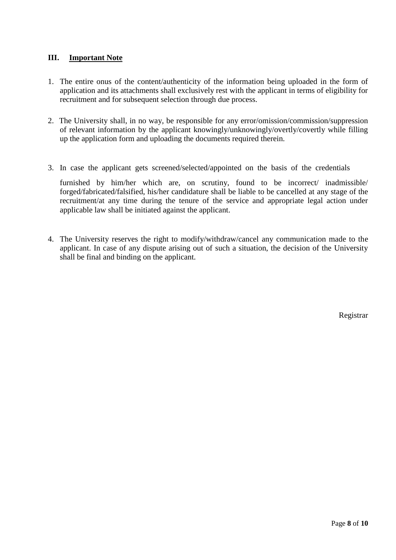# **III. Important Note**

- 1. The entire onus of the content/authenticity of the information being uploaded in the form of application and its attachments shall exclusively rest with the applicant in terms of eligibility for recruitment and for subsequent selection through due process.
- 2. The University shall, in no way, be responsible for any error/omission/commission/suppression of relevant information by the applicant knowingly/unknowingly/overtly/covertly while filling up the application form and uploading the documents required therein.
- 3. In case the applicant gets screened/selected/appointed on the basis of the credentials

furnished by him/her which are, on scrutiny, found to be incorrect/ inadmissible/ forged/fabricated/falsified, his/her candidature shall be liable to be cancelled at any stage of the recruitment/at any time during the tenure of the service and appropriate legal action under applicable law shall be initiated against the applicant.

4. The University reserves the right to modify/withdraw/cancel any communication made to the applicant. In case of any dispute arising out of such a situation, the decision of the University shall be final and binding on the applicant.

Registrar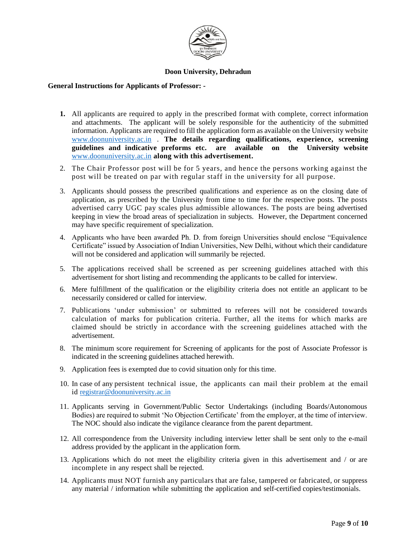

## **Doon University, Dehradun**

## **General Instructions for Applicants of Professor: -**

- **1.** All applicants are required to apply in the prescribed format with complete, correct information and attachments. The applicant will be solely responsible for the authenticity of the submitted information. Applicants are required to fill the application form as available on the University website [www.doonuniversity.a](http://www.doonuniversity./)c.in . **The details regarding qualifications, experience, screening guidelines and indicative preforms etc. are available on the University website** [www.doonuniversity.a](http://www.doonuniversity./)c.in **along with this advertisement.**
- 2. The Chair Professor post will be for 5 years, and hence the persons working against the post will be treated on par with regular staff in the university for all purpose.
- 3. Applicants should possess the prescribed qualifications and experience as on the closing date of application, as prescribed by the University from time to time for the respective posts. The posts advertised carry UGC pay scales plus admissible allowances. The posts are being advertised keeping in view the broad areas of specialization in subjects. However, the Department concerned may have specific requirement of specialization.
- 4. Applicants who have been awarded Ph. D. from foreign Universities should enclose "Equivalence Certificate" issued by Association of Indian Universities, New Delhi, without which their candidature will not be considered and application will summarily be rejected.
- 5. The applications received shall be screened as per screening guidelines attached with this advertisement for short listing and recommending the applicants to be called for interview.
- 6. Mere fulfillment of the qualification or the eligibility criteria does not entitle an applicant to be necessarily considered or called for interview.
- 7. Publications 'under submission' or submitted to referees will not be considered towards calculation of marks for publication criteria. Further, all the items for which marks are claimed should be strictly in accordance with the screening guidelines attached with the advertisement.
- 8. The minimum score requirement for Screening of applicants for the post of Associate Professor is indicated in the screening guidelines attached herewith.
- 9. Application fees is exempted due to covid situation only for this time.
- 10. In case of any persistent technical issue, the applicants can mail their problem at the email id [registrar@doonuniversity.a](mailto:registrar@doonuniversity.)c.in
- 11. Applicants serving in Government/Public Sector Undertakings (including Boards/Autonomous Bodies) are required to submit 'No Objection Certificate' from the employer, at the time of interview. The NOC should also indicate the vigilance clearance from the parent department.
- 12. All correspondence from the University including interview letter shall be sent only to the e-mail address provided by the applicant in the application form.
- 13. Applications which do not meet the eligibility criteria given in this advertisement and / or are incomplete in any respect shall be rejected.
- 14. Applicants must NOT furnish any particulars that are false, tampered or fabricated, or suppress any material / information while submitting the application and self-certified copies/testimonials.